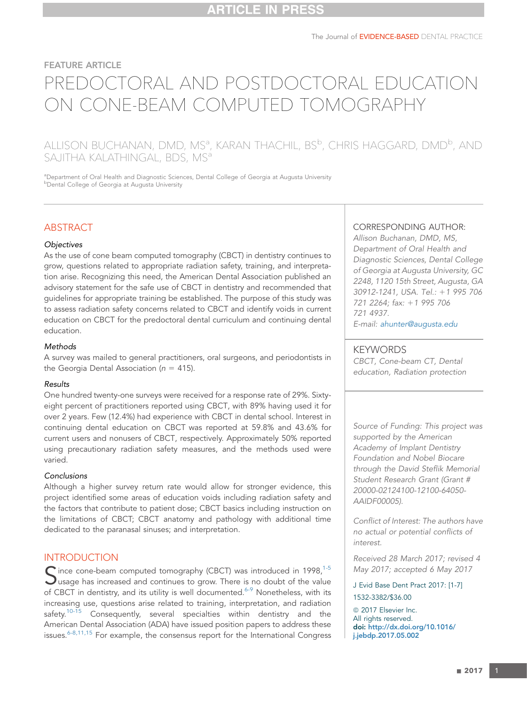# FEATURE ARTICLE PREDOCTORAL AND POSTDOCTORAL EDUCATION ON CONE-BEAM COMPUTED TOMOGRAPHY

# ALLISON BUCHANAN, DMD, MSª, KARAN THACHIL, BS<sup>b</sup>, CHRIS HAGGARD, DMD<sup>b</sup>, AND SAJITHA KALATHINGAL, BDS, MS<sup>a</sup>

aDepartment of Oral Health and Diagnostic Sciences, Dental College of Georgia at Augusta University **b** Dental College of Georgia at Augusta University

# **ABSTRACT**

#### **Objectives**

As the use of cone beam computed tomography (CBCT) in dentistry continues to grow, questions related to appropriate radiation safety, training, and interpretation arise. Recognizing this need, the American Dental Association published an advisory statement for the safe use of CBCT in dentistry and recommended that guidelines for appropriate training be established. The purpose of this study was to assess radiation safety concerns related to CBCT and identify voids in current education on CBCT for the predoctoral dental curriculum and continuing dental education.

#### **Methods**

A survey was mailed to general practitioners, oral surgeons, and periodontists in the Georgia Dental Association ( $n = 415$ ).

#### Results

One hundred twenty-one surveys were received for a response rate of 29%. Sixtyeight percent of practitioners reported using CBCT, with 89% having used it for over 2 years. Few (12.4%) had experience with CBCT in dental school. Interest in continuing dental education on CBCT was reported at 59.8% and 43.6% for current users and nonusers of CBCT, respectively. Approximately 50% reported using precautionary radiation safety measures, and the methods used were varied.

### Conclusions

Although a higher survey return rate would allow for stronger evidence, this project identified some areas of education voids including radiation safety and the factors that contribute to patient dose; CBCT basics including instruction on the limitations of CBCT; CBCT anatomy and pathology with additional time dedicated to the paranasal sinuses; and interpretation.

## INTRODUCTION

 $\bigcap$  ince cone-beam computed tomography (CBCT) was introduced in 1998,  $1-5$  $\bigcup$ usage has increased and continues to grow. There is no doubt of the value of CBCT in dentistry, and its utility is well documented.<sup>[6-9](#page--1-0)</sup> Nonetheless, with its increasing use, questions arise related to training, interpretation, and radiation safety.<sup>[10-15](#page--1-0)</sup> Consequently, several specialties within dentistry and the American Dental Association (ADA) have issued position papers to address these issues.<sup>[6-8,11,15](#page--1-0)</sup> For example, the consensus report for the International Congress

## CORRESPONDING AUTHOR:

Allison Buchanan, DMD, MS, Department of Oral Health and Diagnostic Sciences, Dental College of Georgia at Augusta University, GC 2248, 1120 15th Street, Augusta, GA 30912-1241, USA. Tel.: +1 995 706 721 2264; fax: +1 995 706 721 4937. E-mail: ahunter@augusta.edu

## **KEYWORDS**

CBCT, Cone-beam CT, Dental education, Radiation protection

Source of Funding: This project was supported by the American Academy of Implant Dentistry Foundation and Nobel Biocare through the David Steflik Memorial Student Research Grant (Grant # 20000-02124100-12100-64050- AAIDF00005).

Conflict of Interest: The authors have no actual or potential conflicts of interest.

Received 28 March 2017; revised 4 May 2017; accepted 6 May 2017

J Evid Base Dent Pract 2017: [1-7]

#### 1532-3382/\$36.00

© 2017 Elsevier Inc. All rights reserved. doi: [http://dx.doi.org/10.1016/](http://dx.doi.org/10.1016/j.jebdp.2017.05.002) [j.jebdp.2017.05.002](http://dx.doi.org/10.1016/j.jebdp.2017.05.002)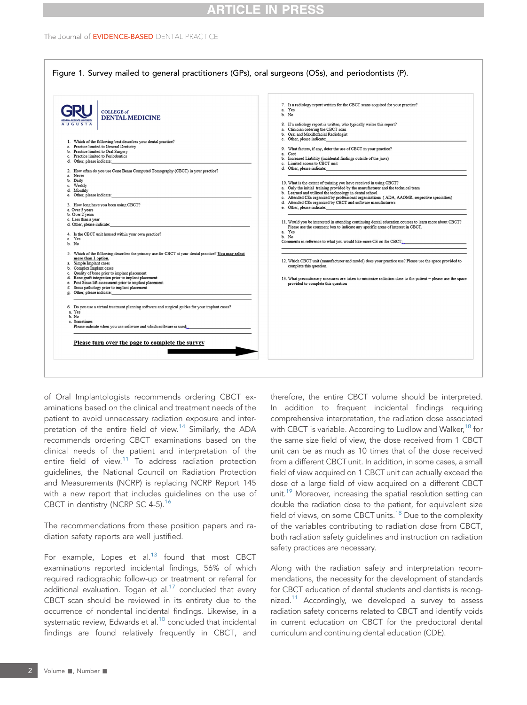# **ARTICLE IN PRESS**

#### The Journal of EVIDENCE-BASED DENTAL PRACTICE



of Oral Implantologists recommends ordering CBCT examinations based on the clinical and treatment needs of the patient to avoid unnecessary radiation exposure and inter-pretation of the entire field of view.<sup>[14](#page--1-0)</sup> Similarly, the ADA recommends ordering CBCT examinations based on the clinical needs of the patient and interpretation of the entire field of view.<sup>[11](#page--1-0)</sup> To address radiation protection guidelines, the National Council on Radiation Protection and Measurements (NCRP) is replacing NCRP Report 145 with a new report that includes guidelines on the use of CBCT in dentistry (NCRP SC 4-5).<sup>[16](#page--1-0)</sup>

The recommendations from these position papers and radiation safety reports are well justified.

For example, Lopes et al. $13$  found that most CBCT examinations reported incidental findings, 56% of which required radiographic follow-up or treatment or referral for additional evaluation. Togan et al. $17$  concluded that every CBCT scan should be reviewed in its entirety due to the occurrence of nondental incidental findings. Likewise, in a systematic review, Edwards et al.<sup>10</sup> concluded that incidental findings are found relatively frequently in CBCT, and

therefore, the entire CBCT volume should be interpreted. In addition to frequent incidental findings requiring comprehensive interpretation, the radiation dose associated with CBCT is variable. According to Ludlow and Walker,<sup>[18](#page--1-0)</sup> for the same size field of view, the dose received from 1 CBCT unit can be as much as 10 times that of the dose received from a different CBCT unit. In addition, in some cases, a small field of view acquired on 1 CBCT unit can actually exceed the dose of a large field of view acquired on a different CBCT unit.<sup>19</sup> Moreover, increasing the spatial resolution setting can double the radiation dose to the patient, for equivalent size field of views, on some CBCT units.<sup>[18](#page--1-0)</sup> Due to the complexity of the variables contributing to radiation dose from CBCT, both radiation safety guidelines and instruction on radiation safety practices are necessary.

Along with the radiation safety and interpretation recommendations, the necessity for the development of standards for CBCT education of dental students and dentists is recog-nized.<sup>[11](#page--1-0)</sup> Accordingly, we developed a survey to assess radiation safety concerns related to CBCT and identify voids in current education on CBCT for the predoctoral dental curriculum and continuing dental education (CDE).